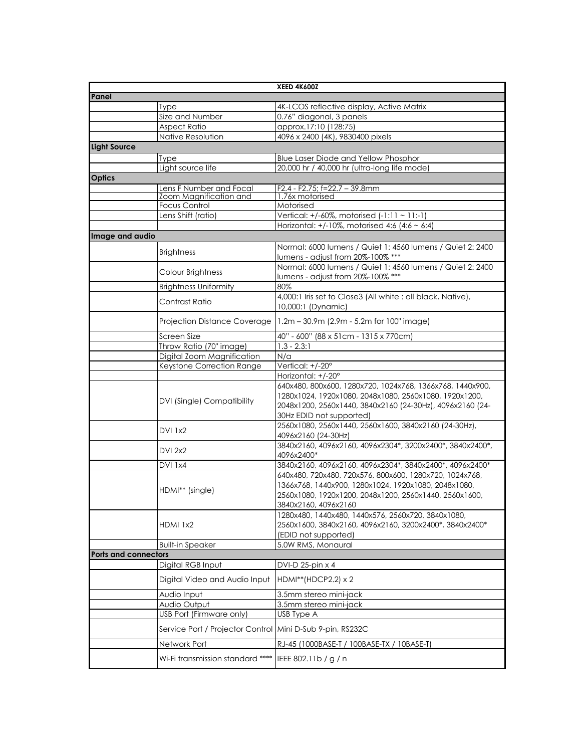|                             |                                          | <b>XEED 4K600Z</b>                                                                              |
|-----------------------------|------------------------------------------|-------------------------------------------------------------------------------------------------|
| Panel                       |                                          |                                                                                                 |
|                             | Type                                     | 4K-LCOS reflective display, Active Matrix                                                       |
|                             | Size and Number                          | 0.76" diagonal, 3 panels                                                                        |
|                             | <b>Aspect Ratio</b>                      | approx.17:10 (128:75)                                                                           |
|                             | Native Resolution                        | 4096 x 2400 (4K), 9830400 pixels                                                                |
| <b>Light Source</b>         |                                          |                                                                                                 |
|                             | <b>Type</b>                              | Blue Laser Diode and Yellow Phosphor                                                            |
|                             | Light source life                        | 20,000 hr / 40,000 hr (ultra-long life mode)                                                    |
| <b>Optics</b>               |                                          |                                                                                                 |
|                             | Lens F Number and Focal                  | $F2.4 - F2.75$ ; $F=22.7 - 39.8$ mm                                                             |
|                             | Zoom Magnification and                   | 1.76x motorised                                                                                 |
|                             | Focus Control                            | Motorised                                                                                       |
|                             | Lens Shift (ratio)                       | Vertical: +/-60%, motorised (-1:11 ~ 11:-1)                                                     |
|                             |                                          | Horizontal: +/-10%, motorised 4:6 (4:6 $\sim$ 6:4)                                              |
| Image and audio             |                                          |                                                                                                 |
|                             | <b>Brightness</b>                        | Normal: 6000 lumens / Quiet 1: 4560 lumens / Quiet 2: 2400<br>lumens - adjust from 20%-100% *** |
|                             | Colour Brightness                        | Normal: 6000 lumens / Quiet 1: 4560 lumens / Quiet 2: 2400                                      |
|                             | <b>Brightness Uniformity</b>             | lumens - adjust from 20%-100% ***<br>80%                                                        |
|                             |                                          | 4,000:1 Iris set to Close3 (All white : all black, Native),                                     |
|                             | Contrast Ratio                           | 10,000:1 (Dynamic)                                                                              |
|                             | Projection Distance Coverage             | $1.2m - 30.9m$ (2.9m - 5.2m for 100" image)                                                     |
|                             | Screen Size                              | 40" - 600" (88 x 51 cm - 1315 x 770 cm)                                                         |
|                             | Throw Ratio (70" image)                  | $1.3 - 2.3:1$                                                                                   |
|                             | Digital Zoom Magnification               | $N/\alpha$                                                                                      |
|                             | Keystone Correction Range                | Vertical: +/-20°                                                                                |
|                             |                                          | Horizontal: +/-20°                                                                              |
|                             |                                          | 640x480, 800x600, 1280x720, 1024x768, 1366x768, 1440x900,                                       |
|                             |                                          | 1280x1024, 1920x1080, 2048x1080, 2560x1080, 1920x1200,                                          |
|                             | DVI (Single) Compatibility               | 2048x1200, 2560x1440, 3840x2160 (24-30Hz), 4096x2160 (24-                                       |
|                             |                                          | 30Hz EDID not supported)                                                                        |
|                             | <b>DVI 1x2</b>                           | 2560x1080, 2560x1440, 2560x1600, 3840x2160 (24-30Hz),<br>4096x2160 (24-30Hz)                    |
|                             |                                          | 3840x2160, 4096x2160, 4096x2304*, 3200x2400*, 3840x2400*,                                       |
|                             | <b>DVI 2x2</b>                           | 4096x2400*                                                                                      |
|                             | DVI 1x4                                  | 3840x2160, 4096x2160, 4096x2304*, 3840x2400*, 4096x2400*                                        |
|                             |                                          | 640x480, 720x480, 720x576, 800x600, 1280x720, 1024x768,                                         |
|                             |                                          | 1366x768, 1440x900, 1280x1024, 1920x1080, 2048x1080,                                            |
|                             | HDMI** (single)                          | 2560x1080, 1920x1200, 2048x1200, 2560x1440, 2560x1600,                                          |
|                             |                                          | 3840x2160, 4096x2160                                                                            |
|                             |                                          | 1280x480, 1440x480, 1440x576, 2560x720, 3840x1080,                                              |
|                             | HDMI 1x2                                 | 2560x1600, 3840x2160, 4096x2160, 3200x2400*, 3840x2400*                                         |
|                             |                                          | (EDID not supported)                                                                            |
|                             | <b>Built-in Speaker</b>                  | 5.0W RMS, Monaural                                                                              |
| <b>Ports and connectors</b> |                                          |                                                                                                 |
|                             | Digital RGB Input                        | DVI-D 25-pin x 4                                                                                |
|                             | Digital Video and Audio Input            | HDMI**(HDCP2.2) x 2                                                                             |
|                             | Audio Input                              | 3.5mm stereo mini-jack                                                                          |
|                             |                                          |                                                                                                 |
|                             | Audio Output<br>USB Port (Firmware only) | 3.5mm stereo mini-jack                                                                          |
|                             |                                          | USB Type A                                                                                      |
|                             | Service Port / Projector Control         | Mini D-Sub 9-pin, RS232C                                                                        |
|                             | Network Port                             | RJ-45 (1000BASE-T / 100BASE-TX / 10BASE-T)                                                      |
|                             | Wi-Fi transmission standard ****         | IEEE 802.11b / g / n                                                                            |